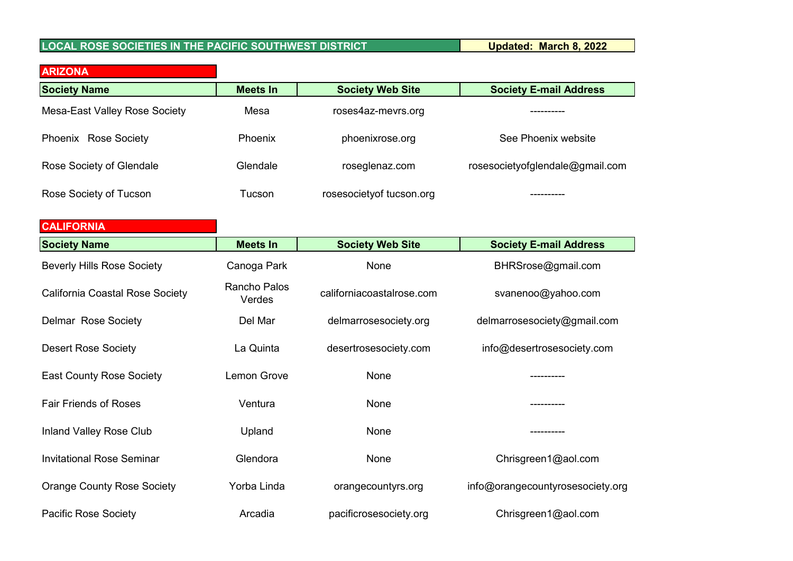## **LOCAL ROSE SOCIETIES IN THE PACIFIC SOUTHWEST DISTRICT Updated: March 8, 2022**

| <b>ARIZONA</b>                       |          |                           |                                 |
|--------------------------------------|----------|---------------------------|---------------------------------|
| <b>Society Name</b>                  | Meets In | <b>Society Web Site</b>   | <b>Society E-mail Address</b>   |
| <b>Mesa-East Valley Rose Society</b> | Mesa     | roses4az-mevrs.org        |                                 |
| Phoenix Rose Society                 | Phoenix  | phoenixrose.org           | See Phoenix website             |
| Rose Society of Glendale             | Glendale | roseglenaz.com            | rosesocietyofglendale@gmail.com |
| Rose Society of Tucson               | Tucson   | rosesociety of tucson.org |                                 |

| <b>CALIFORNIA</b>                      |                        |                           |                                  |
|----------------------------------------|------------------------|---------------------------|----------------------------------|
| <b>Society Name</b>                    | <b>Meets In</b>        | <b>Society Web Site</b>   | <b>Society E-mail Address</b>    |
| <b>Beverly Hills Rose Society</b>      | Canoga Park            | None                      | BHRSrose@gmail.com               |
| <b>California Coastal Rose Society</b> | Rancho Palos<br>Verdes | californiacoastalrose.com | svanenoo@yahoo.com               |
| <b>Delmar Rose Society</b>             | Del Mar                | delmarrosesociety.org     | delmarrosesociety@gmail.com      |
| <b>Desert Rose Society</b>             | La Quinta              | desertrosesociety.com     | info@desertrosesociety.com       |
| <b>East County Rose Society</b>        | Lemon Grove            | None                      |                                  |
| <b>Fair Friends of Roses</b>           | Ventura                | None                      | ----------                       |
| <b>Inland Valley Rose Club</b>         | Upland                 | None                      |                                  |
| <b>Invitational Rose Seminar</b>       | Glendora               | None                      | Chrisgreen1@aol.com              |
| <b>Orange County Rose Society</b>      | Yorba Linda            | orangecountyrs.org        | info@orangecountyrosesociety.org |
| <b>Pacific Rose Society</b>            | Arcadia                | pacificrosesociety.org    | Chrisgreen1@aol.com              |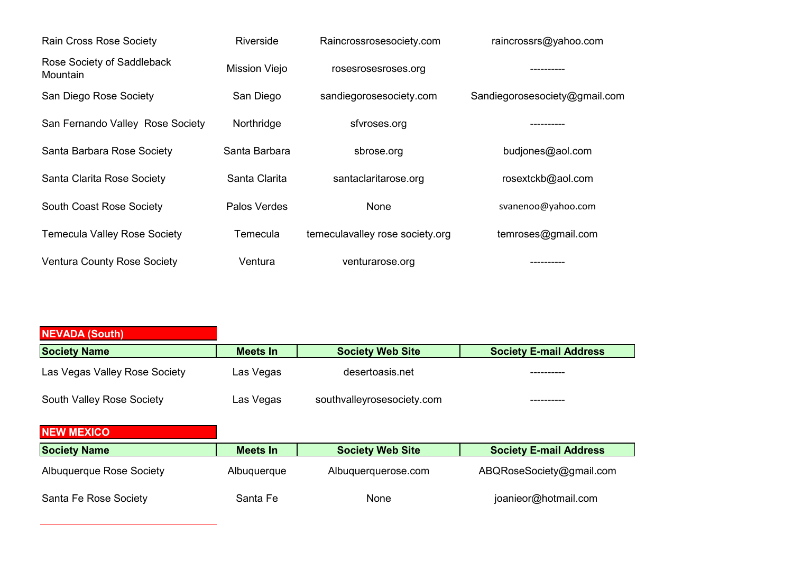| Rain Cross Rose Society                | <b>Riverside</b>     | Raincrossrosesociety.com        | raincrossrs@yahoo.com         |  |
|----------------------------------------|----------------------|---------------------------------|-------------------------------|--|
| Rose Society of Saddleback<br>Mountain | <b>Mission Viejo</b> | rosesrosesroses.org             | ---------                     |  |
| San Diego Rose Society                 | San Diego            | sandiegorosesociety.com         | Sandiegorosesociety@gmail.com |  |
| San Fernando Valley Rose Society       | Northridge           | sfyroses.org                    | ---------                     |  |
| Santa Barbara Rose Society             | Santa Barbara        | sbrose.org                      | budjones@aol.com              |  |
| Santa Clarita Rose Society             | Santa Clarita        | santaclaritarose.org            | rosextckb@aol.com             |  |
| <b>South Coast Rose Society</b>        | Palos Verdes         | None                            | svanenoo@yahoo.com            |  |
| <b>Temecula Valley Rose Society</b>    | Temecula             | temeculavalley rose society.org | temroses@gmail.com            |  |
| <b>Ventura County Rose Society</b>     | Ventura              | venturarose.org                 |                               |  |

| <b>NEVADA (South)</b>            |                 |                            |                               |
|----------------------------------|-----------------|----------------------------|-------------------------------|
| <b>Society Name</b>              | <b>Meets In</b> | <b>Society Web Site</b>    | <b>Society E-mail Address</b> |
| Las Vegas Valley Rose Society    | Las Vegas       | desertoasis.net            |                               |
| <b>South Valley Rose Society</b> | Las Vegas       | southvalleyrosesociety.com |                               |
| <b>NEW MEXICO</b>                |                 |                            |                               |
| <b>Society Name</b>              | <b>Meets In</b> | <b>Society Web Site</b>    | <b>Society E-mail Address</b> |
| <b>Albuquerque Rose Society</b>  | Albuquerque     | Albuquerquerose.com        | ABQRoseSociety@gmail.com      |
| Santa Fe Rose Society            | Santa Fe        | None                       | joanieor@hotmail.com          |